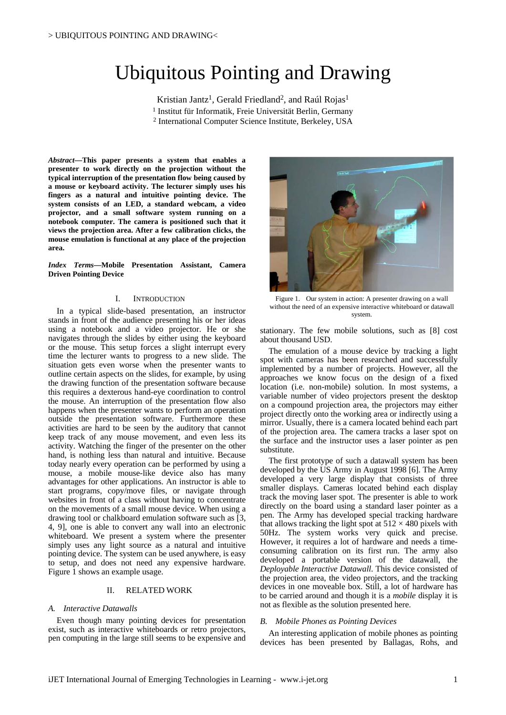# Ubiquitous Pointing and Drawing

Kristian Jantz<sup>1</sup>, Gerald Friedland<sup>2</sup>, and Raúl Rojas<sup>1</sup> 1 Institut für Informatik, Freie Universität Berlin, Germany 2 International Computer Science Institute, Berkeley, USA

*Abstract***—This paper presents a system that enables a presenter to work directly on the projection without the typical interruption of the presentation flow being caused by a mouse or keyboard activity. The lecturer simply uses his fingers as a natural and intuitive pointing device. The system consists of an LED, a standard webcam, a video projector, and a small software system running on a notebook computer. The camera is positioned such that it views the projection area. After a few calibration clicks, the mouse emulation is functional at any place of the projection area.** 

*Index Terms***—Mobile Presentation Assistant, Camera Driven Pointing Device** 

#### I. INTRODUCTION Figure 1.

In a typical slide-based presentation, an instructor stands in front of the audience presenting his or her ideas using a notebook and a video projector. He or she navigates through the slides by either using the keyboard or the mouse. This setup forces a slight interrupt every time the lecturer wants to progress to a new slide. The situation gets even worse when the presenter wants to outline certain aspects on the slides, for example, by using the drawing function of the presentation software because this requires a dexterous hand-eye coordination to control the mouse. An interruption of the presentation flow also happens when the presenter wants to perform an operation outside the presentation software. Furthermore these activities are hard to be seen by the auditory that cannot keep track of any mouse movement, and even less its activity. Watching the finger of the presenter on the other hand, is nothing less than natural and intuitive. Because today nearly every operation can be performed by using a mouse, a mobile mouse-like device also has many advantages for other applications. An instructor is able to start programs, copy/move files, or navigate through websites in front of a class without having to concentrate on the movements of a small mouse device. When using a drawing tool or chalkboard emulation software such as [3, 4, 9], one is able to convert any wall into an electronic whiteboard. We present a system where the presenter simply uses any light source as a natural and intuitive pointing device. The system can be used anywhere, is easy to setup, and does not need any expensive hardware. Figure 1 shows an example usage.

#### II. RELATED WORK

### *A. Interactive Datawalls*

Even though many pointing devices for presentation exist, such as interactive whiteboards or retro projectors, pen computing in the large still seems to be expensive and



Figure 1. Our system in action: A presenter drawing on a wall without the need of an expensive interactive whiteboard or datawall system.

stationary. The few mobile solutions, such as [8] cost about thousand USD.

The emulation of a mouse device by tracking a light spot with cameras has been researched and successfully implemented by a number of projects. However, all the approaches we know focus on the design of a fixed location (i.e. non-mobile) solution. In most systems, a variable number of video projectors present the desktop on a compound projection area, the projectors may either project directly onto the working area or indirectly using a mirror. Usually, there is a camera located behind each part of the projection area. The camera tracks a laser spot on the surface and the instructor uses a laser pointer as pen substitute.

The first prototype of such a datawall system has been developed by the US Army in August 1998 [6]. The Army developed a very large display that consists of three smaller displays. Cameras located behind each display track the moving laser spot. The presenter is able to work directly on the board using a standard laser pointer as a pen. The Army has developed special tracking hardware that allows tracking the light spot at  $512 \times 480$  pixels with 50Hz. The system works very quick and precise. However, it requires a lot of hardware and needs a timeconsuming calibration on its first run. The army also developed a portable version of the datawall, the *Deployable Interactive Datawall*. This device consisted of the projection area, the video projectors, and the tracking devices in one moveable box. Still, a lot of hardware has to be carried around and though it is a *mobile* display it is not as flexible as the solution presented here.

#### *B. Mobile Phones as Pointing Devices*

An interesting application of mobile phones as pointing devices has been presented by Ballagas, Rohs, and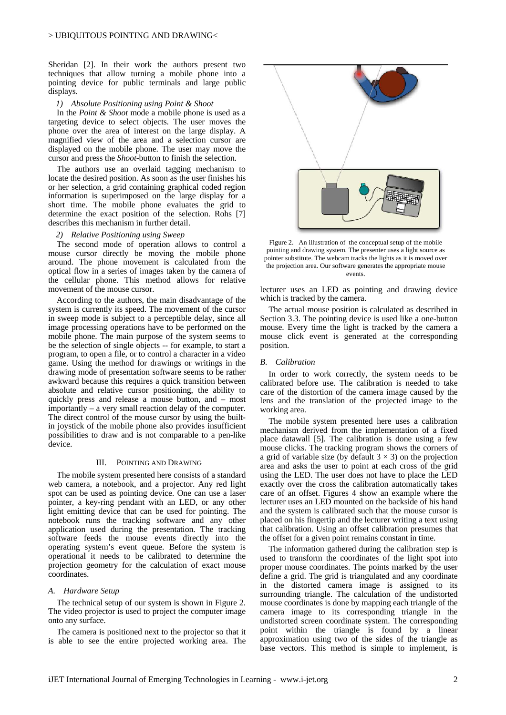Sheridan [2]. In their work the authors present two techniques that allow turning a mobile phone into a pointing device for public terminals and large public displays.

#### *1) Absolute Positioning using Point & Shoot*

In the *Point & Shoot* mode a mobile phone is used as a targeting device to select objects. The user moves the phone over the area of interest on the large display. A magnified view of the area and a selection cursor are displayed on the mobile phone. The user may move the cursor and press the *Shoot*-button to finish the selection.

The authors use an overlaid tagging mechanism to locate the desired position. As soon as the user finishes his or her selection, a grid containing graphical coded region information is superimposed on the large display for a short time. The mobile phone evaluates the grid to determine the exact position of the selection. Rohs [7] describes this mechanism in further detail.

#### *2) Relative Positioning using Sweep*

The second mode of operation allows to control a mouse cursor directly be moving the mobile phone around. The phone movement is calculated from the optical flow in a series of images taken by the camera of the cellular phone. This method allows for relative movement of the mouse cursor.

According to the authors, the main disadvantage of the system is currently its speed. The movement of the cursor in sweep mode is subject to a perceptible delay, since all image processing operations have to be performed on the mobile phone. The main purpose of the system seems to be the selection of single objects -- for example, to start a program, to open a file, or to control a character in a video game. Using the method for drawings or writings in the drawing mode of presentation software seems to be rather awkward because this requires a quick transition between absolute and relative cursor positioning, the ability to quickly press and release a mouse button, and – most importantly – a very small reaction delay of the computer. The direct control of the mouse cursor by using the builtin joystick of the mobile phone also provides insufficient possibilities to draw and is not comparable to a pen-like device.

#### III. POINTING AND DRAWING

The mobile system presented here consists of a standard web camera, a notebook, and a projector. Any red light spot can be used as pointing device. One can use a laser pointer, a key-ring pendant with an LED, or any other light emitting device that can be used for pointing. The notebook runs the tracking software and any other application used during the presentation. The tracking software feeds the mouse events directly into the operating system's event queue. Before the system is operational it needs to be calibrated to determine the projection geometry for the calculation of exact mouse coordinates.

## *A. Hardware Setup*

The technical setup of our system is shown in Figure 2. The video projector is used to project the computer image onto any surface.

The camera is positioned next to the projector so that it is able to see the entire projected working area. The



Figure 2. An illustration of the conceptual setup of the mobile pointing and drawing system. The presenter uses a light source as pointer substitute. The webcam tracks the lights as it is moved over the projection area. Our software generates the appropriate mouse events.

lecturer uses an LED as pointing and drawing device which is tracked by the camera.

The actual mouse position is calculated as described in Section 3.3. The pointing device is used like a one-button mouse. Every time the light is tracked by the camera a mouse click event is generated at the corresponding position.

#### *B. Calibration*

In order to work correctly, the system needs to be calibrated before use. The calibration is needed to take care of the distortion of the camera image caused by the lens and the translation of the projected image to the working area.

The mobile system presented here uses a calibration mechanism derived from the implementation of a fixed place datawall [5]. The calibration is done using a few mouse clicks. The tracking program shows the corners of a grid of variable size (by default  $3 \times 3$ ) on the projection area and asks the user to point at each cross of the grid using the LED. The user does not have to place the LED exactly over the cross the calibration automatically takes care of an offset. Figures 4 show an example where the lecturer uses an LED mounted on the backside of his hand and the system is calibrated such that the mouse cursor is placed on his fingertip and the lecturer writing a text using that calibration. Using an offset calibration presumes that the offset for a given point remains constant in time.

The information gathered during the calibration step is used to transform the coordinates of the light spot into proper mouse coordinates. The points marked by the user define a grid. The grid is triangulated and any coordinate in the distorted camera image is assigned to its surrounding triangle. The calculation of the undistorted mouse coordinates is done by mapping each triangle of the camera image to its corresponding triangle in the undistorted screen coordinate system. The corresponding point within the triangle is found by a linear approximation using two of the sides of the triangle as base vectors. This method is simple to implement, is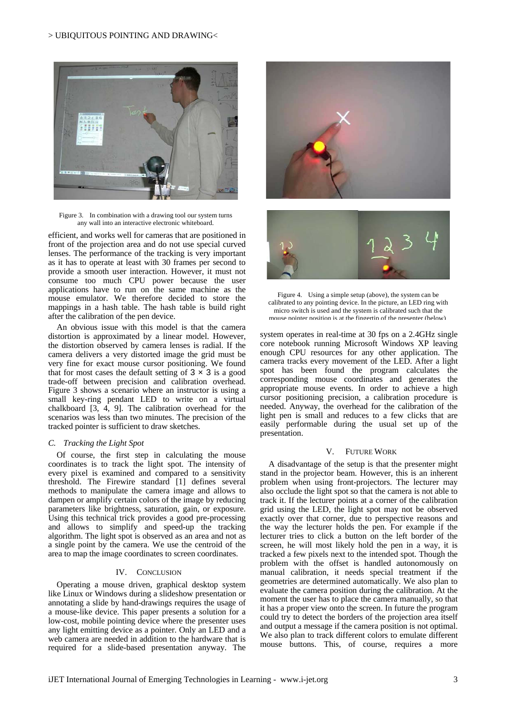

Figure 3. In combination with a drawing tool our system turns any wall into an interactive electronic whiteboard.

efficient, and works well for cameras that are positioned in front of the projection area and do not use special curved lenses. The performance of the tracking is very important as it has to operate at least with 30 frames per second to provide a smooth user interaction. However, it must not consume too much CPU power because the user applications have to run on the same machine as the mouse emulator. We therefore decided to store the mappings in a hash table. The hash table is build right after the calibration of the pen device.

An obvious issue with this model is that the camera distortion is approximated by a linear model. However, the distortion observed by camera lenses is radial. If the camera delivers a very distorted image the grid must be very fine for exact mouse cursor positioning. We found that for most cases the default setting of  $3 \times 3$  is a good trade-off between precision and calibration overhead. Figure 3 shows a scenario where an instructor is using a small key-ring pendant LED to write on a virtual chalkboard [3, 4, 9]. The calibration overhead for the scenarios was less than two minutes. The precision of the tracked pointer is sufficient to draw sketches.

### *C. Tracking the Light Spot*

Of course, the first step in calculating the mouse coordinates is to track the light spot. The intensity of every pixel is examined and compared to a sensitivity threshold. The Firewire standard [1] defines several methods to manipulate the camera image and allows to dampen or amplify certain colors of the image by reducing parameters like brightness, saturation, gain, or exposure. Using this technical trick provides a good pre-processing and allows to simplify and speed-up the tracking algorithm. The light spot is observed as an area and not as a single point by the camera. We use the centroid of the area to map the image coordinates to screen coordinates.

#### IV. CONCLUSION

Operating a mouse driven, graphical desktop system like Linux or Windows during a slideshow presentation or annotating a slide by hand-drawings requires the usage of a mouse-like device. This paper presents a solution for a low-cost, mobile pointing device where the presenter uses any light emitting device as a pointer. Only an LED and a web camera are needed in addition to the hardware that is required for a slide-based presentation anyway. The







system operates in real-time at 30 fps on a 2.4GHz single core notebook running Microsoft Windows XP leaving enough CPU resources for any other application. The camera tracks every movement of the LED. After a light spot has been found the program calculates the corresponding mouse coordinates and generates the appropriate mouse events. In order to achieve a high cursor positioning precision, a calibration procedure is needed. Anyway, the overhead for the calibration of the light pen is small and reduces to a few clicks that are easily performable during the usual set up of the presentation.

#### V. FUTURE WORK

A disadvantage of the setup is that the presenter might stand in the projector beam. However, this is an inherent problem when using front-projectors. The lecturer may also occlude the light spot so that the camera is not able to track it. If the lecturer points at a corner of the calibration grid using the LED, the light spot may not be observed exactly over that corner, due to perspective reasons and the way the lecturer holds the pen. For example if the lecturer tries to click a button on the left border of the screen, he will most likely hold the pen in a way, it is tracked a few pixels next to the intended spot. Though the problem with the offset is handled autonomously on manual calibration, it needs special treatment if the geometries are determined automatically. We also plan to evaluate the camera position during the calibration. At the moment the user has to place the camera manually, so that it has a proper view onto the screen. In future the program could try to detect the borders of the projection area itself and output a message if the camera position is not optimal. We also plan to track different colors to emulate different mouse buttons. This, of course, requires a more